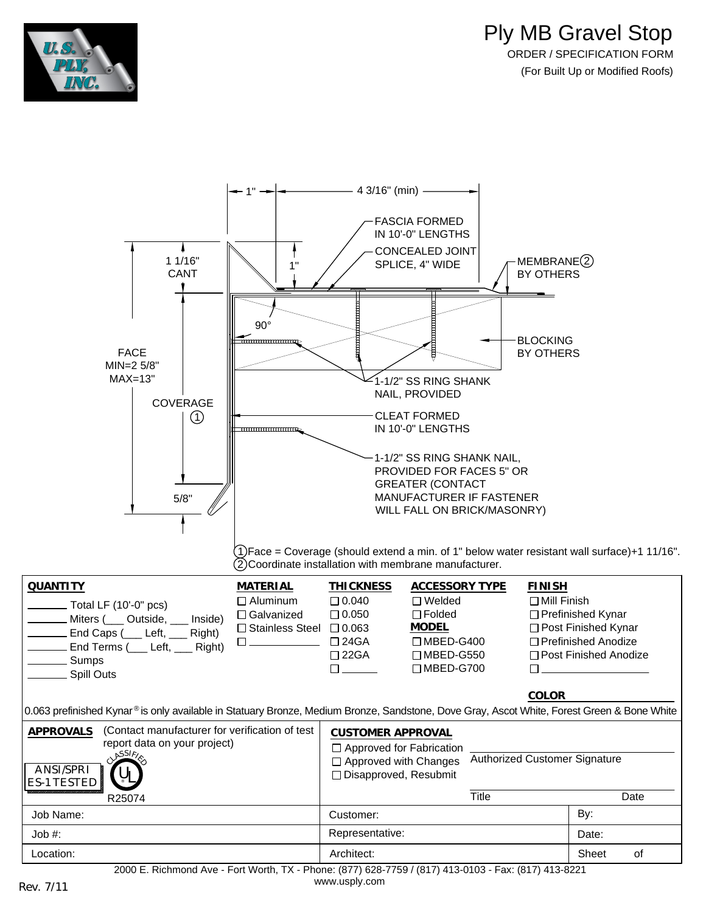





[www.usply.com](http://www.usply.com/) Rev. 7/11